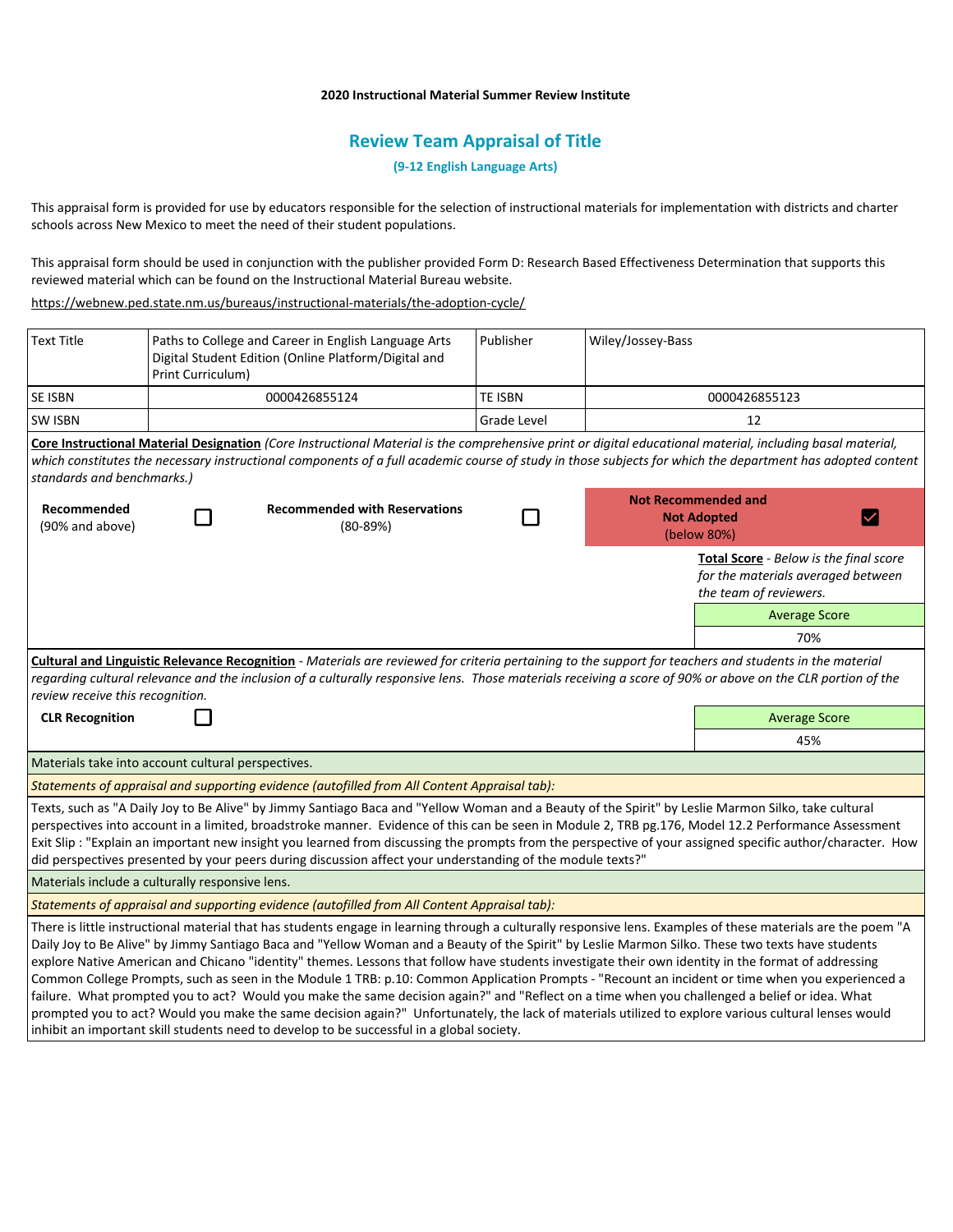### **2020 Instructional Material Summer Review Institute**

# **Review Team Appraisal of Title**

**(9-12 English Language Arts)**

This appraisal form is provided for use by educators responsible for the selection of instructional materials for implementation with districts and charter schools across New Mexico to meet the need of their student populations.

This appraisal form should be used in conjunction with the publisher provided Form D: Research Based Effectiveness Determination that supports this reviewed material which can be found on the Instructional Material Bureau website.

<https://webnew.ped.state.nm.us/bureaus/instructional-materials/the-adoption-cycle/>

| <b>Text Title</b>                                                                                                                                                                                                                                                                                                                                          | Print Curriculum) | Paths to College and Career in English Language Arts<br>Digital Student Edition (Online Platform/Digital and                                                                                                                                                                                                                                                                                                                                                                                                                                                                                                                                                                                                                                                                                                                                                       | Publisher      | Wiley/Jossey-Bass |                                                                                                                                                               |  |
|------------------------------------------------------------------------------------------------------------------------------------------------------------------------------------------------------------------------------------------------------------------------------------------------------------------------------------------------------------|-------------------|--------------------------------------------------------------------------------------------------------------------------------------------------------------------------------------------------------------------------------------------------------------------------------------------------------------------------------------------------------------------------------------------------------------------------------------------------------------------------------------------------------------------------------------------------------------------------------------------------------------------------------------------------------------------------------------------------------------------------------------------------------------------------------------------------------------------------------------------------------------------|----------------|-------------------|---------------------------------------------------------------------------------------------------------------------------------------------------------------|--|
| <b>SE ISBN</b>                                                                                                                                                                                                                                                                                                                                             |                   | 0000426855124                                                                                                                                                                                                                                                                                                                                                                                                                                                                                                                                                                                                                                                                                                                                                                                                                                                      | <b>TE ISBN</b> |                   | 0000426855123                                                                                                                                                 |  |
| <b>SW ISBN</b>                                                                                                                                                                                                                                                                                                                                             |                   |                                                                                                                                                                                                                                                                                                                                                                                                                                                                                                                                                                                                                                                                                                                                                                                                                                                                    | Grade Level    |                   | 12                                                                                                                                                            |  |
| standards and benchmarks.)                                                                                                                                                                                                                                                                                                                                 |                   | Core Instructional Material Designation (Core Instructional Material is the comprehensive print or digital educational material, including basal material,                                                                                                                                                                                                                                                                                                                                                                                                                                                                                                                                                                                                                                                                                                         |                |                   | which constitutes the necessary instructional components of a full academic course of study in those subjects for which the department has adopted content    |  |
| Recommended<br>(90% and above)                                                                                                                                                                                                                                                                                                                             |                   | <b>Recommended with Reservations</b><br>$(80-89%)$                                                                                                                                                                                                                                                                                                                                                                                                                                                                                                                                                                                                                                                                                                                                                                                                                 |                |                   | <b>Not Recommended and</b><br><b>Not Adopted</b><br>$\blacktriangledown$<br>(below 80%)                                                                       |  |
|                                                                                                                                                                                                                                                                                                                                                            |                   |                                                                                                                                                                                                                                                                                                                                                                                                                                                                                                                                                                                                                                                                                                                                                                                                                                                                    |                |                   | Total Score - Below is the final score<br>for the materials averaged between<br>the team of reviewers.                                                        |  |
|                                                                                                                                                                                                                                                                                                                                                            |                   |                                                                                                                                                                                                                                                                                                                                                                                                                                                                                                                                                                                                                                                                                                                                                                                                                                                                    |                |                   | <b>Average Score</b>                                                                                                                                          |  |
|                                                                                                                                                                                                                                                                                                                                                            |                   |                                                                                                                                                                                                                                                                                                                                                                                                                                                                                                                                                                                                                                                                                                                                                                                                                                                                    |                |                   | 70%                                                                                                                                                           |  |
| Cultural and Linguistic Relevance Recognition - Materials are reviewed for criteria pertaining to the support for teachers and students in the material<br>regarding cultural relevance and the inclusion of a culturally responsive lens. Those materials receiving a score of 90% or above on the CLR portion of the<br>review receive this recognition. |                   |                                                                                                                                                                                                                                                                                                                                                                                                                                                                                                                                                                                                                                                                                                                                                                                                                                                                    |                |                   |                                                                                                                                                               |  |
| <b>CLR Recognition</b>                                                                                                                                                                                                                                                                                                                                     |                   |                                                                                                                                                                                                                                                                                                                                                                                                                                                                                                                                                                                                                                                                                                                                                                                                                                                                    |                |                   | <b>Average Score</b>                                                                                                                                          |  |
|                                                                                                                                                                                                                                                                                                                                                            |                   |                                                                                                                                                                                                                                                                                                                                                                                                                                                                                                                                                                                                                                                                                                                                                                                                                                                                    |                |                   | 45%                                                                                                                                                           |  |
| Materials take into account cultural perspectives.                                                                                                                                                                                                                                                                                                         |                   |                                                                                                                                                                                                                                                                                                                                                                                                                                                                                                                                                                                                                                                                                                                                                                                                                                                                    |                |                   |                                                                                                                                                               |  |
|                                                                                                                                                                                                                                                                                                                                                            |                   | Statements of appraisal and supporting evidence (autofilled from All Content Appraisal tab):                                                                                                                                                                                                                                                                                                                                                                                                                                                                                                                                                                                                                                                                                                                                                                       |                |                   |                                                                                                                                                               |  |
|                                                                                                                                                                                                                                                                                                                                                            |                   | Texts, such as "A Daily Joy to Be Alive" by Jimmy Santiago Baca and "Yellow Woman and a Beauty of the Spirit" by Leslie Marmon Silko, take cultural<br>perspectives into account in a limited, broadstroke manner. Evidence of this can be seen in Module 2, TRB pg.176, Model 12.2 Performance Assessment<br>did perspectives presented by your peers during discussion affect your understanding of the module texts?"                                                                                                                                                                                                                                                                                                                                                                                                                                           |                |                   | Exit Slip : "Explain an important new insight you learned from discussing the prompts from the perspective of your assigned specific author/character. How    |  |
| Materials include a culturally responsive lens.                                                                                                                                                                                                                                                                                                            |                   |                                                                                                                                                                                                                                                                                                                                                                                                                                                                                                                                                                                                                                                                                                                                                                                                                                                                    |                |                   |                                                                                                                                                               |  |
|                                                                                                                                                                                                                                                                                                                                                            |                   | Statements of appraisal and supporting evidence (autofilled from All Content Appraisal tab):                                                                                                                                                                                                                                                                                                                                                                                                                                                                                                                                                                                                                                                                                                                                                                       |                |                   |                                                                                                                                                               |  |
|                                                                                                                                                                                                                                                                                                                                                            |                   | Daily Joy to Be Alive" by Jimmy Santiago Baca and "Yellow Woman and a Beauty of the Spirit" by Leslie Marmon Silko. These two texts have students<br>explore Native American and Chicano "identity" themes. Lessons that follow have students investigate their own identity in the format of addressing<br>Common College Prompts, such as seen in the Module 1 TRB: p.10: Common Application Prompts - "Recount an incident or time when you experienced a<br>failure. What prompted you to act? Would you make the same decision again?" and "Reflect on a time when you challenged a belief or idea. What<br>prompted you to act? Would you make the same decision again?" Unfortunately, the lack of materials utilized to explore various cultural lenses would<br>inhibit an important skill students need to develop to be successful in a global society. |                |                   | There is little instructional material that has students engage in learning through a culturally responsive lens. Examples of these materials are the poem "A |  |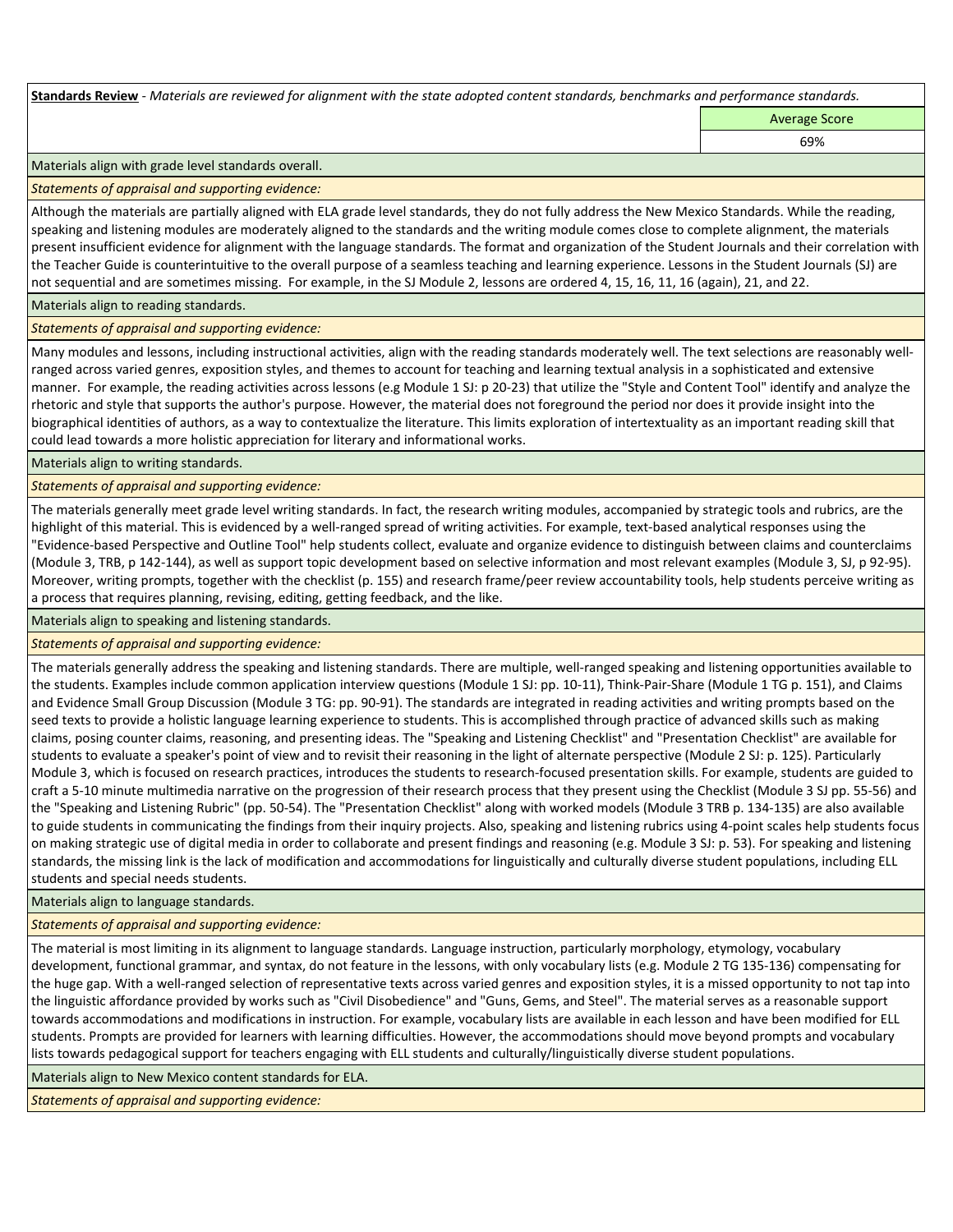**Standards Review** *- Materials are reviewed for alignment with the state adopted content standards, benchmarks and performance standards.*

Average Score 69%

Materials align with grade level standards overall.

*Statements of appraisal and supporting evidence:* 

Although the materials are partially aligned with ELA grade level standards, they do not fully address the New Mexico Standards. While the reading, speaking and listening modules are moderately aligned to the standards and the writing module comes close to complete alignment, the materials present insufficient evidence for alignment with the language standards. The format and organization of the Student Journals and their correlation with the Teacher Guide is counterintuitive to the overall purpose of a seamless teaching and learning experience. Lessons in the Student Journals (SJ) are not sequential and are sometimes missing. For example, in the SJ Module 2, lessons are ordered 4, 15, 16, 11, 16 (again), 21, and 22.

Materials align to reading standards.

*Statements of appraisal and supporting evidence:* 

Many modules and lessons, including instructional activities, align with the reading standards moderately well. The text selections are reasonably wellranged across varied genres, exposition styles, and themes to account for teaching and learning textual analysis in a sophisticated and extensive manner. For example, the reading activities across lessons (e.g Module 1 SJ: p 20-23) that utilize the "Style and Content Tool" identify and analyze the rhetoric and style that supports the author's purpose. However, the material does not foreground the period nor does it provide insight into the biographical identities of authors, as a way to contextualize the literature. This limits exploration of intertextuality as an important reading skill that could lead towards a more holistic appreciation for literary and informational works.

Materials align to writing standards.

*Statements of appraisal and supporting evidence:* 

The materials generally meet grade level writing standards. In fact, the research writing modules, accompanied by strategic tools and rubrics, are the highlight of this material. This is evidenced by a well-ranged spread of writing activities. For example, text-based analytical responses using the "Evidence-based Perspective and Outline Tool" help students collect, evaluate and organize evidence to distinguish between claims and counterclaims (Module 3, TRB, p 142-144), as well as support topic development based on selective information and most relevant examples (Module 3, SJ, p 92-95). Moreover, writing prompts, together with the checklist (p. 155) and research frame/peer review accountability tools, help students perceive writing as a process that requires planning, revising, editing, getting feedback, and the like.

Materials align to speaking and listening standards.

*Statements of appraisal and supporting evidence:* 

The materials generally address the speaking and listening standards. There are multiple, well-ranged speaking and listening opportunities available to the students. Examples include common application interview questions (Module 1 SJ: pp. 10-11), Think-Pair-Share (Module 1 TG p. 151), and Claims and Evidence Small Group Discussion (Module 3 TG: pp. 90-91). The standards are integrated in reading activities and writing prompts based on the seed texts to provide a holistic language learning experience to students. This is accomplished through practice of advanced skills such as making claims, posing counter claims, reasoning, and presenting ideas. The "Speaking and Listening Checklist" and "Presentation Checklist" are available for students to evaluate a speaker's point of view and to revisit their reasoning in the light of alternate perspective (Module 2 SJ: p. 125). Particularly Module 3, which is focused on research practices, introduces the students to research-focused presentation skills. For example, students are guided to craft a 5-10 minute multimedia narrative on the progression of their research process that they present using the Checklist (Module 3 SJ pp. 55-56) and the "Speaking and Listening Rubric" (pp. 50-54). The "Presentation Checklist" along with worked models (Module 3 TRB p. 134-135) are also available to guide students in communicating the findings from their inquiry projects. Also, speaking and listening rubrics using 4-point scales help students focus on making strategic use of digital media in order to collaborate and present findings and reasoning (e.g. Module 3 SJ: p. 53). For speaking and listening standards, the missing link is the lack of modification and accommodations for linguistically and culturally diverse student populations, including ELL students and special needs students.

Materials align to language standards.

*Statements of appraisal and supporting evidence:* 

The material is most limiting in its alignment to language standards. Language instruction, particularly morphology, etymology, vocabulary development, functional grammar, and syntax, do not feature in the lessons, with only vocabulary lists (e.g. Module 2 TG 135-136) compensating for the huge gap. With a well-ranged selection of representative texts across varied genres and exposition styles, it is a missed opportunity to not tap into the linguistic affordance provided by works such as "Civil Disobedience" and "Guns, Gems, and Steel". The material serves as a reasonable support towards accommodations and modifications in instruction. For example, vocabulary lists are available in each lesson and have been modified for ELL students. Prompts are provided for learners with learning difficulties. However, the accommodations should move beyond prompts and vocabulary lists towards pedagogical support for teachers engaging with ELL students and culturally/linguistically diverse student populations.

Materials align to New Mexico content standards for ELA.

*Statements of appraisal and supporting evidence:*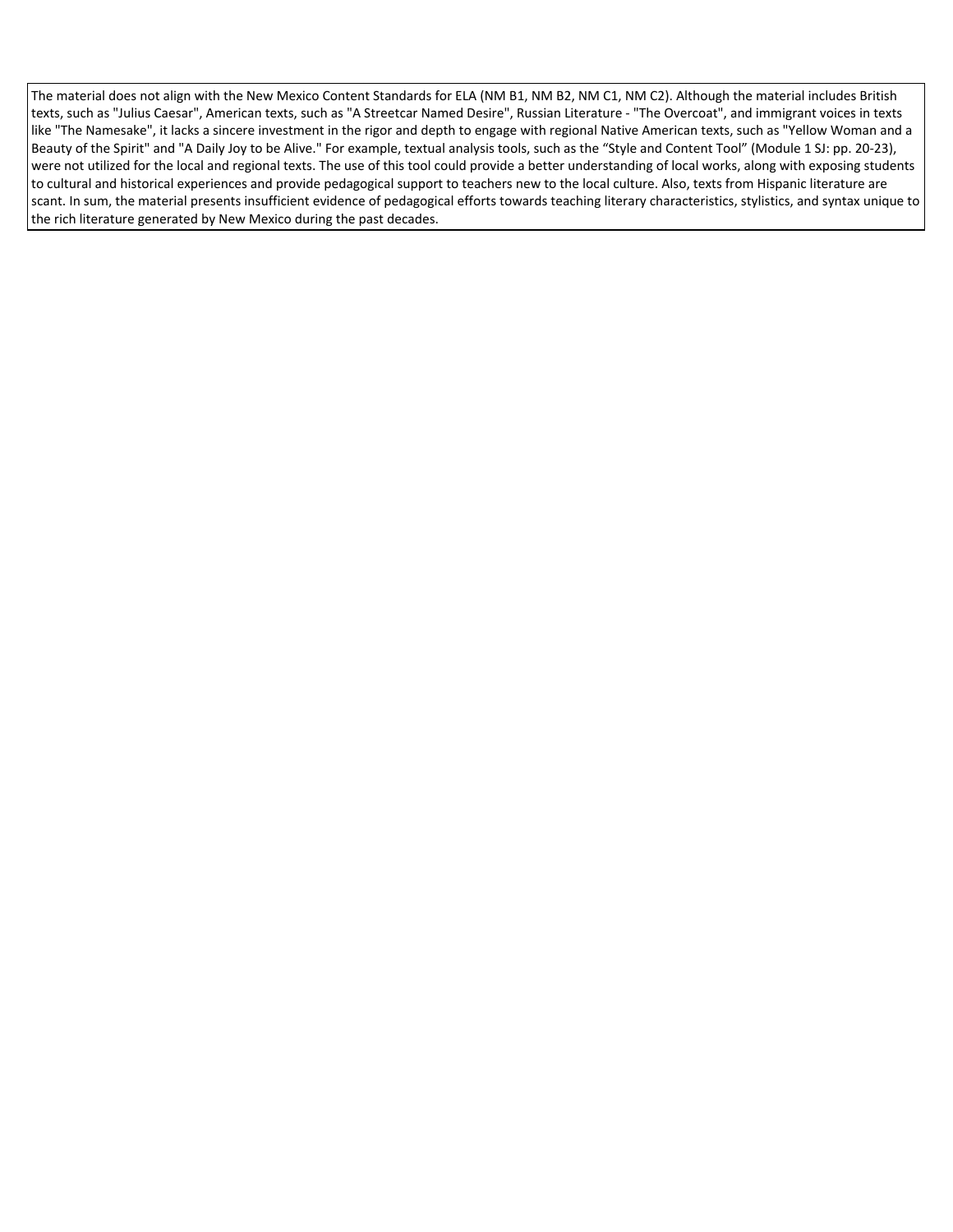The material does not align with the New Mexico Content Standards for ELA (NM B1, NM B2, NM C1, NM C2). Although the material includes British texts, such as "Julius Caesar", American texts, such as "A Streetcar Named Desire", Russian Literature - "The Overcoat", and immigrant voices in texts like "The Namesake", it lacks a sincere investment in the rigor and depth to engage with regional Native American texts, such as "Yellow Woman and a Beauty of the Spirit" and "A Daily Joy to be Alive." For example, textual analysis tools, such as the "Style and Content Tool" (Module 1 SJ: pp. 20-23), were not utilized for the local and regional texts. The use of this tool could provide a better understanding of local works, along with exposing students to cultural and historical experiences and provide pedagogical support to teachers new to the local culture. Also, texts from Hispanic literature are scant. In sum, the material presents insufficient evidence of pedagogical efforts towards teaching literary characteristics, stylistics, and syntax unique to the rich literature generated by New Mexico during the past decades.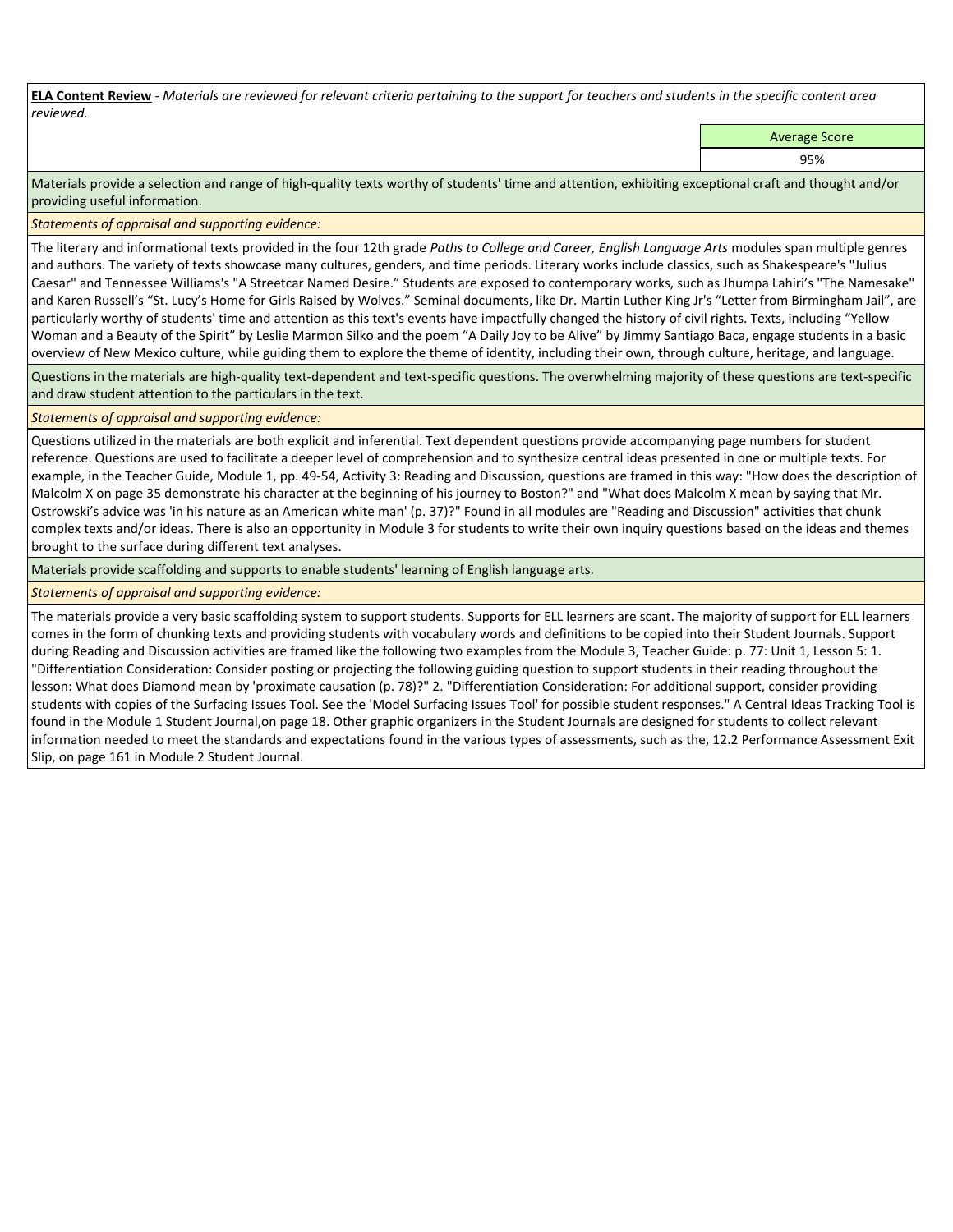**ELA Content Review** *- Materials are reviewed for relevant criteria pertaining to the support for teachers and students in the specific content area reviewed.*

Average Score

95%

Materials provide a selection and range of high-quality texts worthy of students' time and attention, exhibiting exceptional craft and thought and/or providing useful information.

*Statements of appraisal and supporting evidence:* 

The literary and informational texts provided in the four 12th grade *Paths to College and Career, English Language Arts* modules span multiple genres and authors. The variety of texts showcase many cultures, genders, and time periods. Literary works include classics, such as Shakespeare's "Julius Caesar" and Tennessee Williams's "A Streetcar Named Desire." Students are exposed to contemporary works, such as Jhumpa Lahiri's "The Namesake" and Karen Russell's "St. Lucy's Home for Girls Raised by Wolves." Seminal documents, like Dr. Martin Luther King Jr's "Letter from Birmingham Jail", are particularly worthy of students' time and attention as this text's events have impactfully changed the history of civil rights. Texts, including "Yellow Woman and a Beauty of the Spirit" by Leslie Marmon Silko and the poem "A Daily Joy to be Alive" by Jimmy Santiago Baca, engage students in a basic overview of New Mexico culture, while guiding them to explore the theme of identity, including their own, through culture, heritage, and language.

Questions in the materials are high-quality text-dependent and text-specific questions. The overwhelming majority of these questions are text-specific and draw student attention to the particulars in the text.

## *Statements of appraisal and supporting evidence:*

Questions utilized in the materials are both explicit and inferential. Text dependent questions provide accompanying page numbers for student reference. Questions are used to facilitate a deeper level of comprehension and to synthesize central ideas presented in one or multiple texts. For example, in the Teacher Guide, Module 1, pp. 49-54, Activity 3: Reading and Discussion, questions are framed in this way: "How does the description of Malcolm X on page 35 demonstrate his character at the beginning of his journey to Boston?" and "What does Malcolm X mean by saying that Mr. Ostrowski's advice was 'in his nature as an American white man' (p. 37)?" Found in all modules are "Reading and Discussion" activities that chunk complex texts and/or ideas. There is also an opportunity in Module 3 for students to write their own inquiry questions based on the ideas and themes brought to the surface during different text analyses.

Materials provide scaffolding and supports to enable students' learning of English language arts.

# *Statements of appraisal and supporting evidence:*

The materials provide a very basic scaffolding system to support students. Supports for ELL learners are scant. The majority of support for ELL learners comes in the form of chunking texts and providing students with vocabulary words and definitions to be copied into their Student Journals. Support during Reading and Discussion activities are framed like the following two examples from the Module 3, Teacher Guide: p. 77: Unit 1, Lesson 5: 1. "Differentiation Consideration: Consider posting or projecting the following guiding question to support students in their reading throughout the lesson: What does Diamond mean by 'proximate causation (p. 78)?" 2. "Differentiation Consideration: For additional support, consider providing students with copies of the Surfacing Issues Tool. See the 'Model Surfacing Issues Tool' for possible student responses." A Central Ideas Tracking Tool is found in the Module 1 Student Journal,on page 18. Other graphic organizers in the Student Journals are designed for students to collect relevant information needed to meet the standards and expectations found in the various types of assessments, such as the, 12.2 Performance Assessment Exit Slip, on page 161 in Module 2 Student Journal.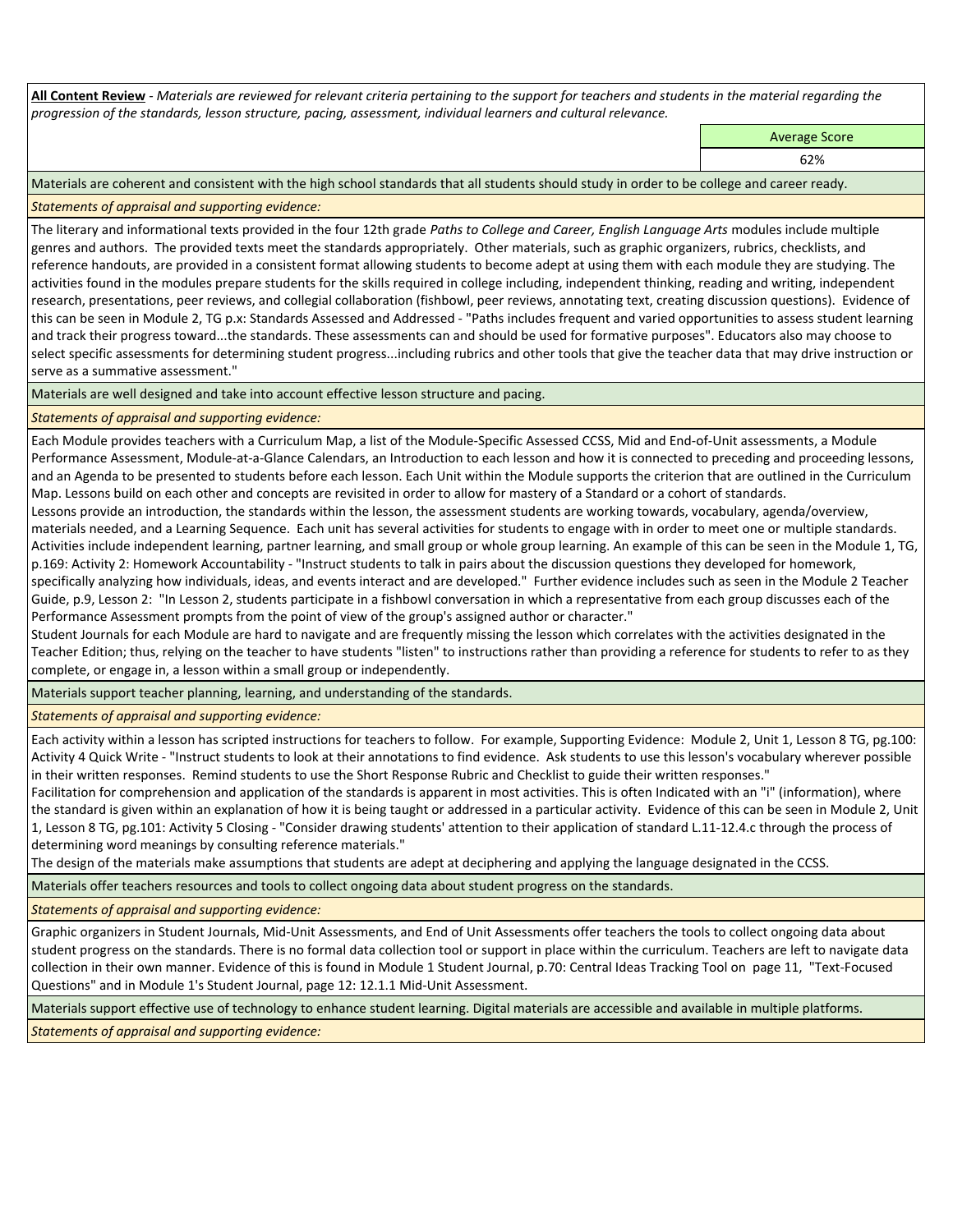**All Content Review** *- Materials are reviewed for relevant criteria pertaining to the support for teachers and students in the material regarding the progression of the standards, lesson structure, pacing, assessment, individual learners and cultural relevance.*

Average Score

62%

Materials are coherent and consistent with the high school standards that all students should study in order to be college and career ready.

*Statements of appraisal and supporting evidence:*

The literary and informational texts provided in the four 12th grade *Paths to College and Career, English Language Arts* modules include multiple genres and authors. The provided texts meet the standards appropriately. Other materials, such as graphic organizers, rubrics, checklists, and reference handouts, are provided in a consistent format allowing students to become adept at using them with each module they are studying. The activities found in the modules prepare students for the skills required in college including, independent thinking, reading and writing, independent research, presentations, peer reviews, and collegial collaboration (fishbowl, peer reviews, annotating text, creating discussion questions). Evidence of this can be seen in Module 2, TG p.x: Standards Assessed and Addressed - "Paths includes frequent and varied opportunities to assess student learning and track their progress toward...the standards. These assessments can and should be used for formative purposes". Educators also may choose to select specific assessments for determining student progress...including rubrics and other tools that give the teacher data that may drive instruction or serve as a summative assessment."

Materials are well designed and take into account effective lesson structure and pacing.

*Statements of appraisal and supporting evidence:*

Each Module provides teachers with a Curriculum Map, a list of the Module-Specific Assessed CCSS, Mid and End-of-Unit assessments, a Module Performance Assessment, Module-at-a-Glance Calendars, an Introduction to each lesson and how it is connected to preceding and proceeding lessons, and an Agenda to be presented to students before each lesson. Each Unit within the Module supports the criterion that are outlined in the Curriculum Map. Lessons build on each other and concepts are revisited in order to allow for mastery of a Standard or a cohort of standards.

Lessons provide an introduction, the standards within the lesson, the assessment students are working towards, vocabulary, agenda/overview, materials needed, and a Learning Sequence. Each unit has several activities for students to engage with in order to meet one or multiple standards. Activities include independent learning, partner learning, and small group or whole group learning. An example of this can be seen in the Module 1, TG, p.169: Activity 2: Homework Accountability - "Instruct students to talk in pairs about the discussion questions they developed for homework, specifically analyzing how individuals, ideas, and events interact and are developed." Further evidence includes such as seen in the Module 2 Teacher Guide, p.9, Lesson 2: "In Lesson 2, students participate in a fishbowl conversation in which a representative from each group discusses each of the Performance Assessment prompts from the point of view of the group's assigned author or character."

Student Journals for each Module are hard to navigate and are frequently missing the lesson which correlates with the activities designated in the Teacher Edition; thus, relying on the teacher to have students "listen" to instructions rather than providing a reference for students to refer to as they complete, or engage in, a lesson within a small group or independently.

Materials support teacher planning, learning, and understanding of the standards.

*Statements of appraisal and supporting evidence:*

Each activity within a lesson has scripted instructions for teachers to follow. For example, Supporting Evidence: Module 2, Unit 1, Lesson 8 TG, pg.100: Activity 4 Quick Write - "Instruct students to look at their annotations to find evidence. Ask students to use this lesson's vocabulary wherever possible in their written responses. Remind students to use the Short Response Rubric and Checklist to guide their written responses."

Facilitation for comprehension and application of the standards is apparent in most activities. This is often Indicated with an "i" (information), where the standard is given within an explanation of how it is being taught or addressed in a particular activity. Evidence of this can be seen in Module 2, Unit 1, Lesson 8 TG, pg.101: Activity 5 Closing - "Consider drawing students' attention to their application of standard L.11-12.4.c through the process of determining word meanings by consulting reference materials."

The design of the materials make assumptions that students are adept at deciphering and applying the language designated in the CCSS.

Materials offer teachers resources and tools to collect ongoing data about student progress on the standards.

*Statements of appraisal and supporting evidence:*

Graphic organizers in Student Journals, Mid-Unit Assessments, and End of Unit Assessments offer teachers the tools to collect ongoing data about student progress on the standards. There is no formal data collection tool or support in place within the curriculum. Teachers are left to navigate data collection in their own manner. Evidence of this is found in Module 1 Student Journal, p.70: Central Ideas Tracking Tool on page 11, "Text-Focused Questions" and in Module 1's Student Journal, page 12: 12.1.1 Mid-Unit Assessment.

Materials support effective use of technology to enhance student learning. Digital materials are accessible and available in multiple platforms.

*Statements of appraisal and supporting evidence:*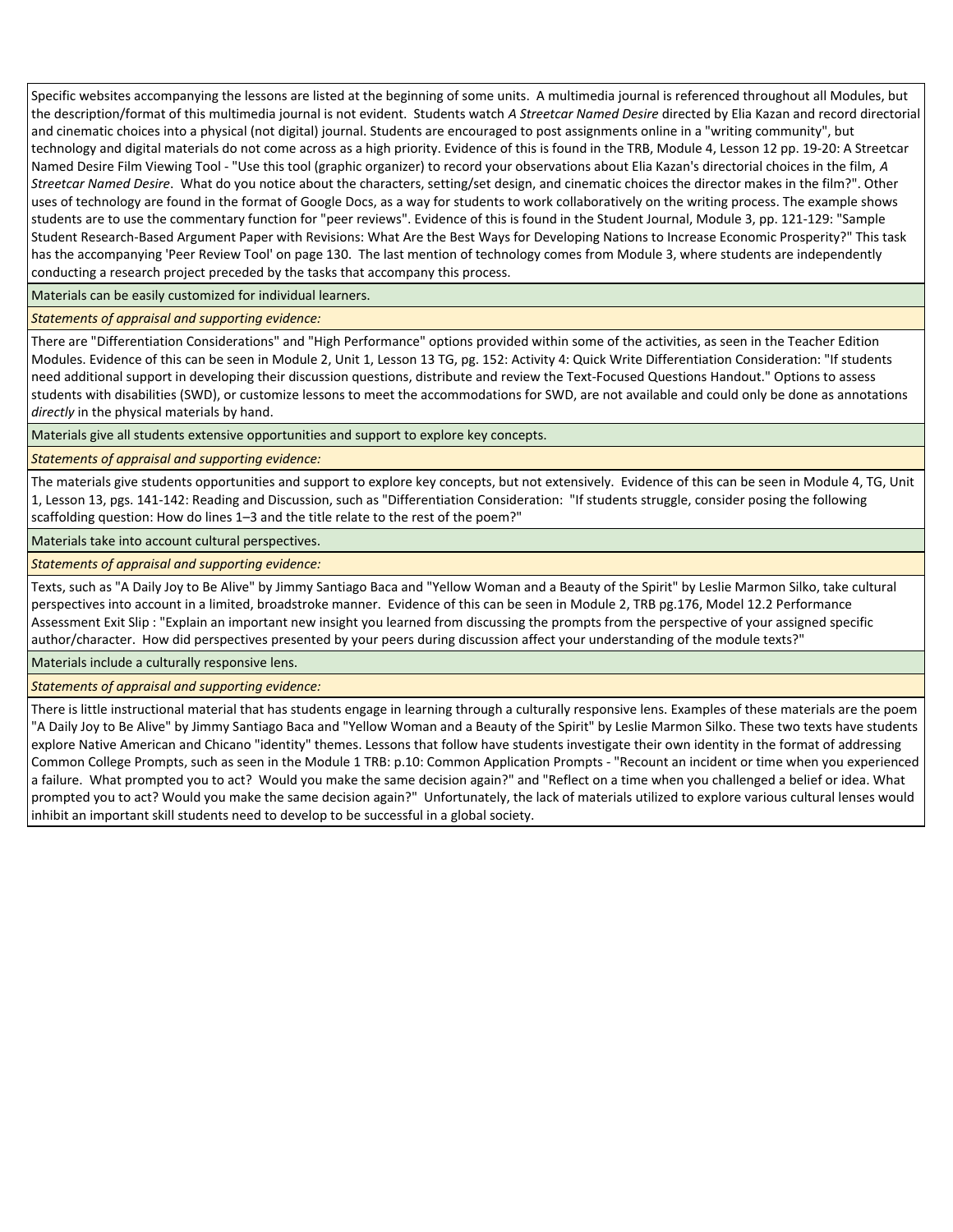Specific websites accompanying the lessons are listed at the beginning of some units. A multimedia journal is referenced throughout all Modules, but the description/format of this multimedia journal is not evident. Students watch *A Streetcar Named Desire* directed by Elia Kazan and record directorial and cinematic choices into a physical (not digital) journal. Students are encouraged to post assignments online in a "writing community", but technology and digital materials do not come across as a high priority. Evidence of this is found in the TRB, Module 4, Lesson 12 pp. 19-20: A Streetcar Named Desire Film Viewing Tool - "Use this tool (graphic organizer) to record your observations about Elia Kazan's directorial choices in the film, *A Streetcar Named Desire*. What do you notice about the characters, setting/set design, and cinematic choices the director makes in the film?". Other uses of technology are found in the format of Google Docs, as a way for students to work collaboratively on the writing process. The example shows students are to use the commentary function for "peer reviews". Evidence of this is found in the Student Journal, Module 3, pp. 121-129: "Sample Student Research-Based Argument Paper with Revisions: What Are the Best Ways for Developing Nations to Increase Economic Prosperity?" This task has the accompanying 'Peer Review Tool' on page 130. The last mention of technology comes from Module 3, where students are independently conducting a research project preceded by the tasks that accompany this process.

Materials can be easily customized for individual learners.

*Statements of appraisal and supporting evidence:* 

There are "Differentiation Considerations" and "High Performance" options provided within some of the activities, as seen in the Teacher Edition Modules. Evidence of this can be seen in Module 2, Unit 1, Lesson 13 TG, pg. 152: Activity 4: Quick Write Differentiation Consideration: "If students need additional support in developing their discussion questions, distribute and review the Text-Focused Questions Handout." Options to assess students with disabilities (SWD), or customize lessons to meet the accommodations for SWD, are not available and could only be done as annotations *directly* in the physical materials by hand.

Materials give all students extensive opportunities and support to explore key concepts.

*Statements of appraisal and supporting evidence:*

The materials give students opportunities and support to explore key concepts, but not extensively. Evidence of this can be seen in Module 4, TG, Unit 1, Lesson 13, pgs. 141-142: Reading and Discussion, such as "Differentiation Consideration: "If students struggle, consider posing the following scaffolding question: How do lines 1–3 and the title relate to the rest of the poem?"

Materials take into account cultural perspectives.

*Statements of appraisal and supporting evidence:*

Texts, such as "A Daily Joy to Be Alive" by Jimmy Santiago Baca and "Yellow Woman and a Beauty of the Spirit" by Leslie Marmon Silko, take cultural perspectives into account in a limited, broadstroke manner. Evidence of this can be seen in Module 2, TRB pg.176, Model 12.2 Performance Assessment Exit Slip : "Explain an important new insight you learned from discussing the prompts from the perspective of your assigned specific author/character. How did perspectives presented by your peers during discussion affect your understanding of the module texts?"

Materials include a culturally responsive lens.

*Statements of appraisal and supporting evidence:*

There is little instructional material that has students engage in learning through a culturally responsive lens. Examples of these materials are the poem "A Daily Joy to Be Alive" by Jimmy Santiago Baca and "Yellow Woman and a Beauty of the Spirit" by Leslie Marmon Silko. These two texts have students explore Native American and Chicano "identity" themes. Lessons that follow have students investigate their own identity in the format of addressing Common College Prompts, such as seen in the Module 1 TRB: p.10: Common Application Prompts - "Recount an incident or time when you experienced a failure. What prompted you to act? Would you make the same decision again?" and "Reflect on a time when you challenged a belief or idea. What prompted you to act? Would you make the same decision again?" Unfortunately, the lack of materials utilized to explore various cultural lenses would inhibit an important skill students need to develop to be successful in a global society.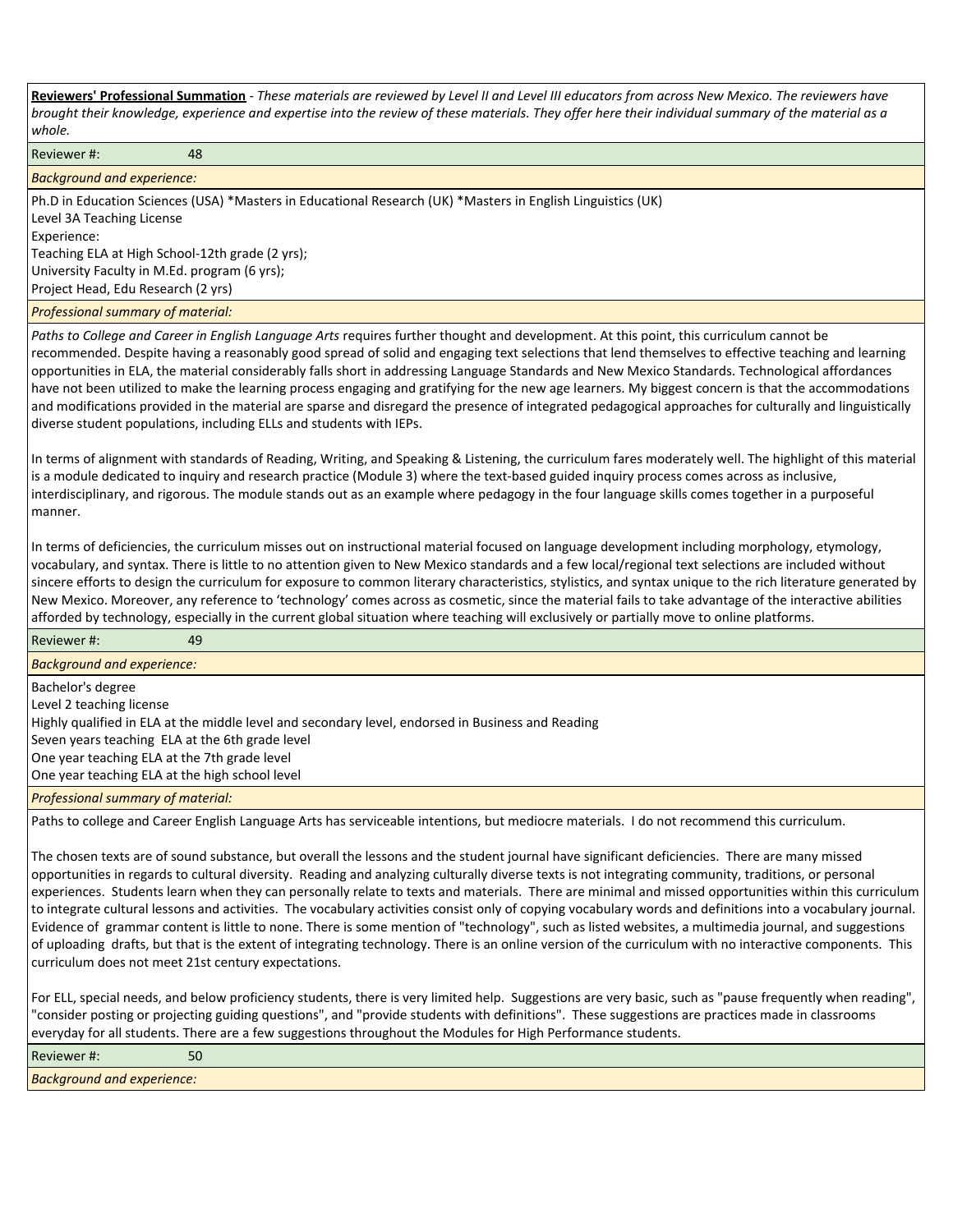**Reviewers' Professional Summation** *- These materials are reviewed by Level II and Level III educators from across New Mexico. The reviewers have brought their knowledge, experience and expertise into the review of these materials. They offer here their individual summary of the material as a whole.*

Reviewer #: 48 *Background and experience:* Ph.D in Education Sciences (USA) \*Masters in Educational Research (UK) \*Masters in English Linguistics (UK) Level 3A Teaching License Experience: Teaching ELA at High School-12th grade (2 yrs); University Faculty in M.Ed. program (6 yrs); Project Head, Edu Research (2 yrs) *Professional summary of material: Paths to College and Career in English Language Arts* requires further thought and development. At this point, this curriculum cannot be recommended. Despite having a reasonably good spread of solid and engaging text selections that lend themselves to effective teaching and learning opportunities in ELA, the material considerably falls short in addressing Language Standards and New Mexico Standards. Technological affordances have not been utilized to make the learning process engaging and gratifying for the new age learners. My biggest concern is that the accommodations and modifications provided in the material are sparse and disregard the presence of integrated pedagogical approaches for culturally and linguistically

diverse student populations, including ELLs and students with IEPs.

In terms of alignment with standards of Reading, Writing, and Speaking & Listening, the curriculum fares moderately well. The highlight of this material is a module dedicated to inquiry and research practice (Module 3) where the text-based guided inquiry process comes across as inclusive, interdisciplinary, and rigorous. The module stands out as an example where pedagogy in the four language skills comes together in a purposeful manner.

In terms of deficiencies, the curriculum misses out on instructional material focused on language development including morphology, etymology, vocabulary, and syntax. There is little to no attention given to New Mexico standards and a few local/regional text selections are included without sincere efforts to design the curriculum for exposure to common literary characteristics, stylistics, and syntax unique to the rich literature generated by New Mexico. Moreover, any reference to 'technology' comes across as cosmetic, since the material fails to take advantage of the interactive abilities afforded by technology, especially in the current global situation where teaching will exclusively or partially move to online platforms.

| Reviewer#:                                                                                        | 49 |  |  |  |  |
|---------------------------------------------------------------------------------------------------|----|--|--|--|--|
| <b>Background and experience:</b>                                                                 |    |  |  |  |  |
| Bachelor's degree                                                                                 |    |  |  |  |  |
| Level 2 teaching license                                                                          |    |  |  |  |  |
| Highly qualified in ELA at the middle level and secondary level, endorsed in Business and Reading |    |  |  |  |  |
| Seven years teaching ELA at the 6th grade level                                                   |    |  |  |  |  |
|                                                                                                   |    |  |  |  |  |
|                                                                                                   |    |  |  |  |  |
| <b>Professional summary of material:</b>                                                          |    |  |  |  |  |
| One year teaching ELA at the 7th grade level<br>One year teaching ELA at the high school level    |    |  |  |  |  |

Paths to college and Career English Language Arts has serviceable intentions, but mediocre materials. I do not recommend this curriculum.

The chosen texts are of sound substance, but overall the lessons and the student journal have significant deficiencies. There are many missed opportunities in regards to cultural diversity. Reading and analyzing culturally diverse texts is not integrating community, traditions, or personal experiences. Students learn when they can personally relate to texts and materials. There are minimal and missed opportunities within this curriculum to integrate cultural lessons and activities. The vocabulary activities consist only of copying vocabulary words and definitions into a vocabulary journal. Evidence of grammar content is little to none. There is some mention of "technology", such as listed websites, a multimedia journal, and suggestions of uploading drafts, but that is the extent of integrating technology. There is an online version of the curriculum with no interactive components. This curriculum does not meet 21st century expectations.

For ELL, special needs, and below proficiency students, there is very limited help. Suggestions are very basic, such as "pause frequently when reading", "consider posting or projecting guiding questions", and "provide students with definitions". These suggestions are practices made in classrooms everyday for all students. There are a few suggestions throughout the Modules for High Performance students.

| Reviewer #:                       | r o<br>οu |
|-----------------------------------|-----------|
| <b>Background and experience:</b> |           |